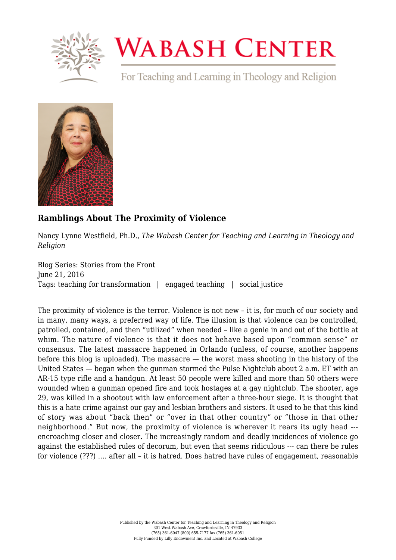

## **WABASH CENTER**

For Teaching and Learning in Theology and Religion



## **[Ramblings About The Proximity of Violence](https://www.wabashcenter.wabash.edu/2016/06/ramblings-about-the-proximity-of-violence/)**

Nancy Lynne Westfield, Ph.D., *The Wabash Center for Teaching and Learning in Theology and Religion*

Blog Series: Stories from the Front June 21, 2016 Tags: teaching for transformation | engaged teaching | social justice

The proximity of violence is the terror. Violence is not new – it is, for much of our society and in many, many ways, a preferred way of life. The illusion is that violence can be controlled, patrolled, contained, and then "utilized" when needed – like a genie in and out of the bottle at whim. The nature of violence is that it does not behave based upon "common sense" or consensus. The latest massacre happened in Orlando (unless, of course, another happens before this blog is uploaded). The massacre — the worst mass shooting in the history of the United States — began when the gunman stormed the Pulse Nightclub about 2 a.m. ET with an AR-15 type rifle and a handgun. At least 50 people were killed and more than 50 others were wounded when a gunman opened fire and took hostages at a gay nightclub. The shooter, age 29, was killed in a shootout with law enforcement after a three-hour siege. It is thought that this is a hate crime against our gay and lesbian brothers and sisters. It used to be that this kind of story was about "back then" or "over in that other country" or "those in that other neighborhood." But now, the proximity of violence is wherever it rears its ugly head -- encroaching closer and closer. The increasingly random and deadly incidences of violence go against the established rules of decorum, but even that seems ridiculous --- can there be rules for violence (???) …. after all – it is hatred. Does hatred have rules of engagement, reasonable